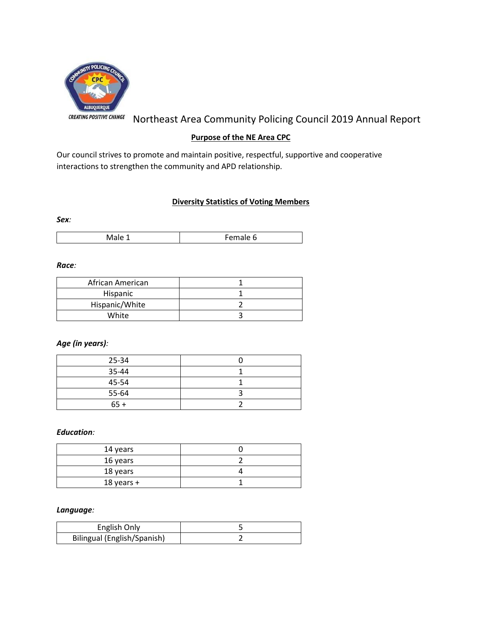

Northeast Area Community Policing Council 2019 Annual Report

# **Purpose of the NE Area CPC**

Our council strives to promote and maintain positive, respectful, supportive and cooperative interactions to strengthen the community and APD relationship.

## **Diversity Statistics of Voting Members**

*Sex:*

| Male | Female <sub>b</sub> |
|------|---------------------|

#### *Race:*

| African American |  |
|------------------|--|
| Hispanic         |  |
| Hispanic/White   |  |
| White            |  |

## *Age (in years):*

| 25-34 |  |
|-------|--|
| 35-44 |  |
| 45-54 |  |
| 55-64 |  |
| $65+$ |  |

## *Education:*

| 14 years   |  |
|------------|--|
| 16 years   |  |
| 18 years   |  |
| 18 years + |  |

#### *Language:*

| English Only                |  |
|-----------------------------|--|
| Bilingual (English/Spanish) |  |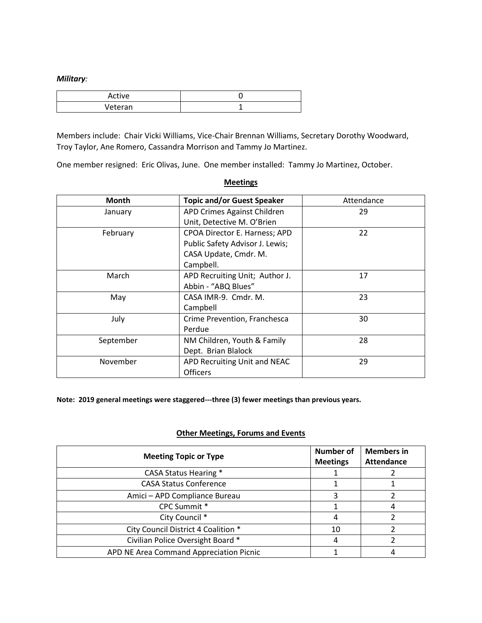*Military:*

| Active  |  |
|---------|--|
| Veteran |  |

Members include: Chair Vicki Williams, Vice-Chair Brennan Williams, Secretary Dorothy Woodward, Troy Taylor, Ane Romero, Cassandra Morrison and Tammy Jo Martinez.

One member resigned: Eric Olivas, June. One member installed: Tammy Jo Martinez, October.

| Month     | <b>Topic and/or Guest Speaker</b> | Attendance |
|-----------|-----------------------------------|------------|
| January   | APD Crimes Against Children       | 29         |
|           | Unit, Detective M. O'Brien        |            |
| February  | CPOA Director E. Harness; APD     | 22         |
|           | Public Safety Advisor J. Lewis;   |            |
|           | CASA Update, Cmdr. M.             |            |
|           | Campbell.                         |            |
| March     | APD Recruiting Unit; Author J.    | 17         |
|           | Abbin - "ABQ Blues"               |            |
| May       | CASA IMR-9. Cmdr. M.              | 23         |
|           | Campbell                          |            |
| July      | Crime Prevention, Franchesca      | 30         |
|           | Perdue                            |            |
| September | NM Children, Youth & Family       | 28         |
|           | Dept. Brian Blalock               |            |
| November  | APD Recruiting Unit and NEAC      | 29         |
|           | <b>Officers</b>                   |            |

#### **Meetings**

**Note: 2019 general meetings were staggered---three (3) fewer meetings than previous years.**

## **Other Meetings, Forums and Events**

| <b>Meeting Topic or Type</b>            | <b>Number of</b><br><b>Meetings</b> | <b>Members in</b><br><b>Attendance</b> |
|-----------------------------------------|-------------------------------------|----------------------------------------|
| <b>CASA Status Hearing *</b>            |                                     |                                        |
| <b>CASA Status Conference</b>           |                                     |                                        |
| Amici - APD Compliance Bureau           | 3                                   |                                        |
| CPC Summit *                            |                                     |                                        |
| City Council *                          |                                     |                                        |
| City Council District 4 Coalition *     | 10                                  |                                        |
| Civilian Police Oversight Board *       | 4                                   |                                        |
| APD NE Area Command Appreciation Picnic |                                     |                                        |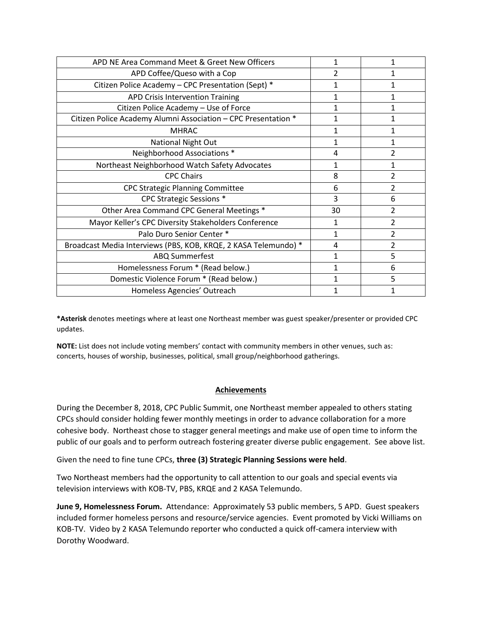| APD NE Area Command Meet & Greet New Officers                   | 1                        | 1              |
|-----------------------------------------------------------------|--------------------------|----------------|
| APD Coffee/Queso with a Cop                                     | $\overline{\mathcal{L}}$ | 1              |
| Citizen Police Academy - CPC Presentation (Sept) *              | 1                        | 1              |
| <b>APD Crisis Intervention Training</b>                         | $\mathbf{1}$             | 1              |
| Citizen Police Academy - Use of Force                           | $\mathbf{1}$             | 1              |
| Citizen Police Academy Alumni Association - CPC Presentation *  | 1                        | 1              |
| <b>MHRAC</b>                                                    | 1                        | 1              |
| National Night Out                                              | $\mathbf{1}$             | $\mathbf{1}$   |
| Neighborhood Associations *                                     | 4                        | 2              |
| Northeast Neighborhood Watch Safety Advocates                   | 1                        | $\mathbf{1}$   |
| <b>CPC Chairs</b>                                               | 8                        | 2              |
| <b>CPC Strategic Planning Committee</b>                         | 6                        | 2              |
| CPC Strategic Sessions *                                        | 3                        | 6              |
| Other Area Command CPC General Meetings *                       | 30                       | $\overline{2}$ |
| Mayor Keller's CPC Diversity Stakeholders Conference            | 1                        | $\mathfrak{p}$ |
| Palo Duro Senior Center *                                       | 1                        | 2              |
| Broadcast Media Interviews (PBS, KOB, KRQE, 2 KASA Telemundo) * | 4                        | 2              |
| <b>ABQ Summerfest</b>                                           | $\mathbf{1}$             | 5              |
| Homelessness Forum * (Read below.)                              | 1                        | 6              |
| Domestic Violence Forum * (Read below.)                         |                          | 5              |
| Homeless Agencies' Outreach                                     |                          |                |

**\*Asterisk** denotes meetings where at least one Northeast member was guest speaker/presenter or provided CPC updates.

**NOTE:** List does not include voting members' contact with community members in other venues, such as: concerts, houses of worship, businesses, political, small group/neighborhood gatherings.

## **Achievements**

During the December 8, 2018, CPC Public Summit, one Northeast member appealed to others stating CPCs should consider holding fewer monthly meetings in order to advance collaboration for a more cohesive body. Northeast chose to stagger general meetings and make use of open time to inform the public of our goals and to perform outreach fostering greater diverse public engagement. See above list.

Given the need to fine tune CPCs, **three (3) Strategic Planning Sessions were held**.

Two Northeast members had the opportunity to call attention to our goals and special events via television interviews with KOB-TV, PBS, KRQE and 2 KASA Telemundo.

**June 9, Homelessness Forum.** Attendance: Approximately 53 public members, 5 APD. Guest speakers included former homeless persons and resource/service agencies. Event promoted by Vicki Williams on KOB-TV. Video by 2 KASA Telemundo reporter who conducted a quick off-camera interview with Dorothy Woodward.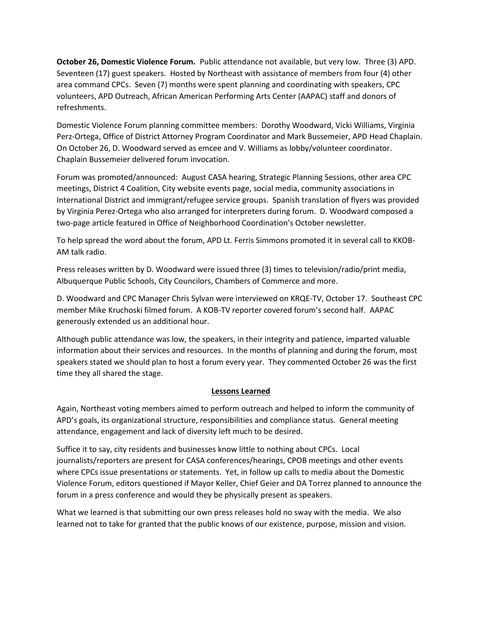**October 26, Domestic Violence Forum.** Public attendance not available, but very low. Three (3) APD. Seventeen (17) guest speakers. Hosted by Northeast with assistance of members from four (4) other area command CPCs. Seven (7) months were spent planning and coordinating with speakers, CPC volunteers, APD Outreach, African American Performing Arts Center (AAPAC) staff and donors of refreshments.

Domestic Violence Forum planning committee members: Dorothy Woodward, Vicki Williams, Virginia Perz-Ortega, Office of District Attorney Program Coordinator and Mark Bussemeier, APD Head Chaplain. On October 26, D. Woodward served as emcee and V. Williams as lobby/volunteer coordinator. Chaplain Bussemeier delivered forum invocation.

Forum was promoted/announced: August CASA hearing, Strategic Planning Sessions, other area CPC meetings, District 4 Coalition, City website events page, social media, community associations in International District and immigrant/refugee service groups. Spanish translation of flyers was provided by Virginia Perez-Ortega who also arranged for interpreters during forum. D. Woodward composed a two-page article featured in Office of Neighborhood Coordination's October newsletter.

To help spread the word about the forum, APD Lt. Ferris Simmons promoted it in several call to KKOB-AM talk radio.

Press releases written by D. Woodward were issued three (3) times to television/radio/print media, Albuquerque Public Schools, City Councilors, Chambers of Commerce and more.

D. Woodward and CPC Manager Chris Sylvan were interviewed on KRQE-TV, October 17. Southeast CPC member Mike Kruchoski filmed forum. A KOB-TV reporter covered forum's second half. AAPAC generously extended us an additional hour.

Although public attendance was low, the speakers, in their integrity and patience, imparted valuable information about their services and resources. In the months of planning and during the forum, most speakers stated we should plan to host a forum every year. They commented October 26 was the first time they all shared the stage.

## **Lessons Learned**

Again, Northeast voting members aimed to perform outreach and helped to inform the community of APD's goals, its organizational structure, responsibilities and compliance status. General meeting attendance, engagement and lack of diversity left much to be desired.

Suffice it to say, city residents and businesses know little to nothing about CPCs. Local journalists/reporters are present for CASA conferences/hearings, CPOB meetings and other events where CPCs issue presentations or statements. Yet, in follow up calls to media about the Domestic Violence Forum, editors questioned if Mayor Keller, Chief Geier and DA Torrez planned to announce the forum in a press conference and would they be physically present as speakers.

What we learned is that submitting our own press releases hold no sway with the media. We also learned not to take for granted that the public knows of our existence, purpose, mission and vision.